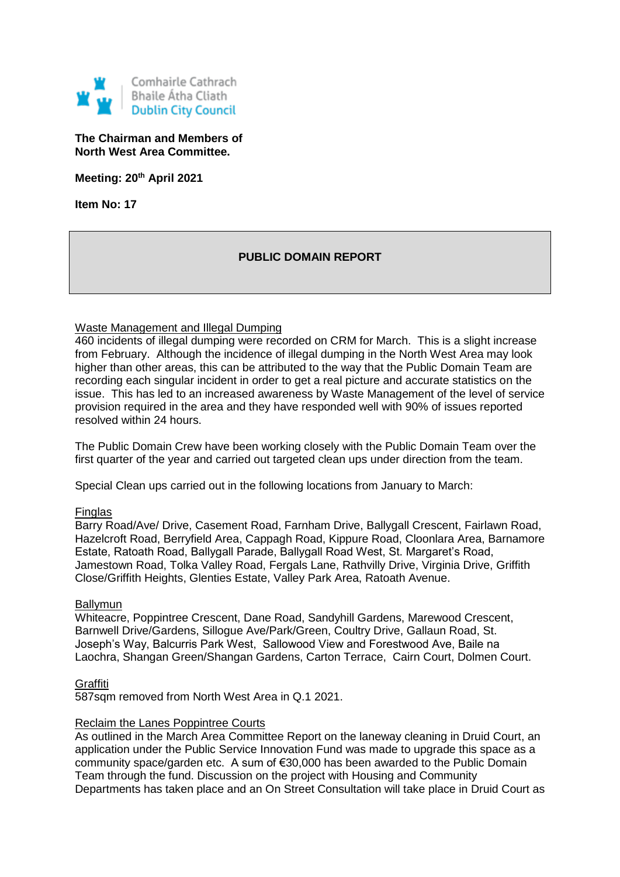

## **The Chairman and Members of North West Area Committee.**

**Meeting: 20th April 2021**

**Item No: 17**

# **PUBLIC DOMAIN REPORT**

# Waste Management and Illegal Dumping

460 incidents of illegal dumping were recorded on CRM for March. This is a slight increase from February. Although the incidence of illegal dumping in the North West Area may look higher than other areas, this can be attributed to the way that the Public Domain Team are recording each singular incident in order to get a real picture and accurate statistics on the issue. This has led to an increased awareness by Waste Management of the level of service provision required in the area and they have responded well with 90% of issues reported resolved within 24 hours.

The Public Domain Crew have been working closely with the Public Domain Team over the first quarter of the year and carried out targeted clean ups under direction from the team.

Special Clean ups carried out in the following locations from January to March:

### Finglas

Barry Road/Ave/ Drive, Casement Road, Farnham Drive, Ballygall Crescent, Fairlawn Road, Hazelcroft Road, Berryfield Area, Cappagh Road, Kippure Road, Cloonlara Area, Barnamore Estate, Ratoath Road, Ballygall Parade, Ballygall Road West, St. Margaret's Road, Jamestown Road, Tolka Valley Road, Fergals Lane, Rathvilly Drive, Virginia Drive, Griffith Close/Griffith Heights, Glenties Estate, Valley Park Area, Ratoath Avenue.

### Ballymun

Whiteacre, Poppintree Crescent, Dane Road, Sandyhill Gardens, Marewood Crescent, Barnwell Drive/Gardens, Sillogue Ave/Park/Green, Coultry Drive, Gallaun Road, St. Joseph's Way, Balcurris Park West, Sallowood View and Forestwood Ave, Baile na Laochra, Shangan Green/Shangan Gardens, Carton Terrace, Cairn Court, Dolmen Court.

### **Graffiti**

587sqm removed from North West Area in Q.1 2021.

### Reclaim the Lanes Poppintree Courts

As outlined in the March Area Committee Report on the laneway cleaning in Druid Court, an application under the Public Service Innovation Fund was made to upgrade this space as a community space/garden etc. A sum of €30,000 has been awarded to the Public Domain Team through the fund. Discussion on the project with Housing and Community Departments has taken place and an On Street Consultation will take place in Druid Court as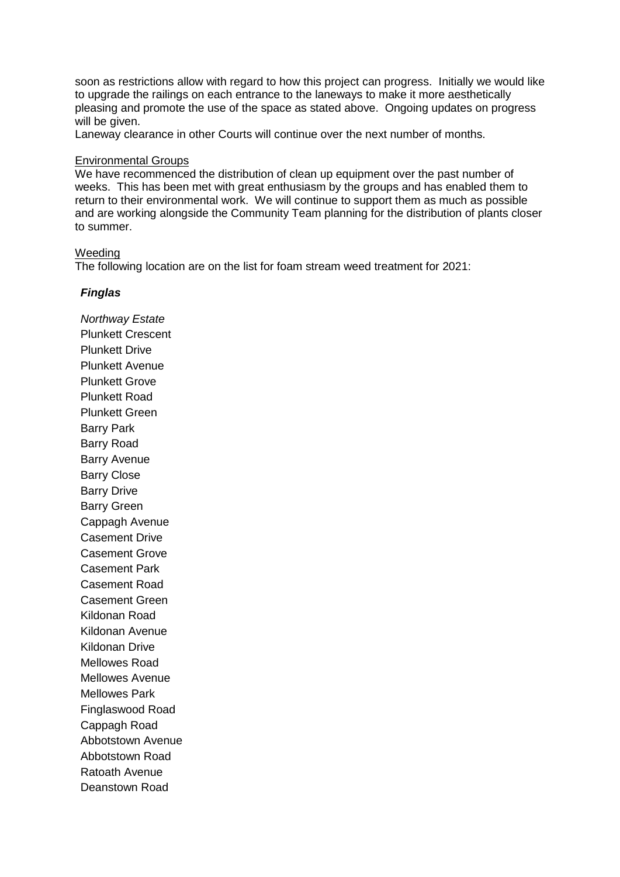soon as restrictions allow with regard to how this project can progress. Initially we would like to upgrade the railings on each entrance to the laneways to make it more aesthetically pleasing and promote the use of the space as stated above. Ongoing updates on progress will be given.

Laneway clearance in other Courts will continue over the next number of months.

### Environmental Groups

We have recommenced the distribution of clean up equipment over the past number of weeks. This has been met with great enthusiasm by the groups and has enabled them to return to their environmental work. We will continue to support them as much as possible and are working alongside the Community Team planning for the distribution of plants closer to summer.

#### Weeding

The following location are on the list for foam stream weed treatment for 2021:

### *Finglas*

*Northway Estate* Plunkett Crescent Plunkett Drive Plunkett Avenue Plunkett Grove Plunkett Road Plunkett Green Barry Park Barry Road Barry Avenue Barry Close Barry Drive Barry Green Cappagh Avenue Casement Drive Casement Grove Casement Park Casement Road Casement Green Kildonan Road Kildonan Avenue Kildonan Drive Mellowes Road Mellowes Avenue Mellowes Park Finglaswood Road Cappagh Road Abbotstown Avenue Abbotstown Road Ratoath Avenue Deanstown Road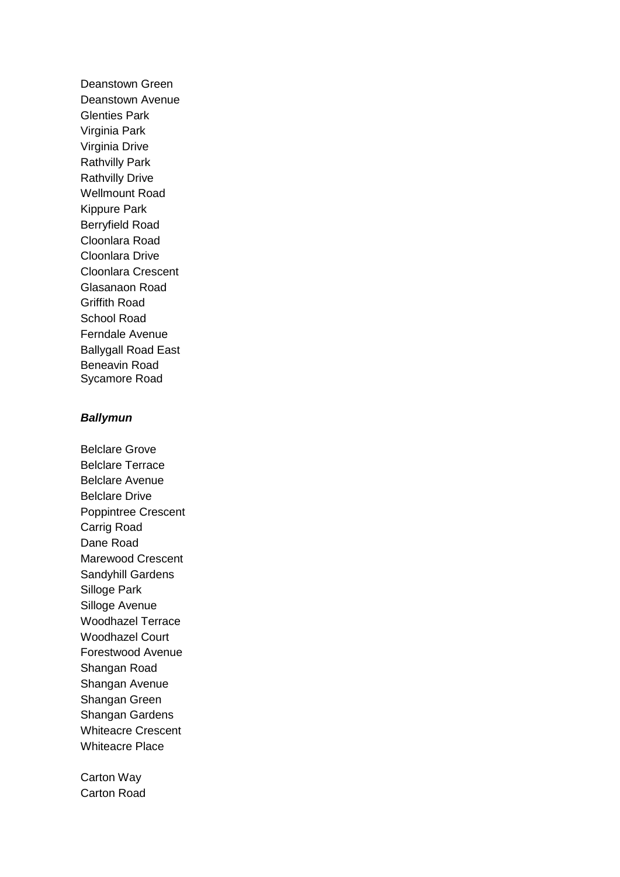Deanstown Green Deanstown Avenue Glenties Park Virginia Park Virginia Drive Rathvilly Park Rathvilly Drive Wellmount Road Kippure Park Berryfield Road Cloonlara Road Cloonlara Drive Cloonlara Crescent Glasanaon Road Griffith Road School Road Ferndale Avenue Ballygall Road East Beneavin Road Sycamore Road

# *Ballymun*

Belclare Grove Belclare Terrace Belclare Avenue Belclare Drive Poppintree Crescent Carrig Road Dane Road Marewood Crescent Sandyhill Gardens Silloge Park Silloge Avenue Woodhazel Terrace Woodhazel Court Forestwood Avenue Shangan Road Shangan Avenue Shangan Green Shangan Gardens Whiteacre Crescent Whiteacre Place

Carton Way Carton Road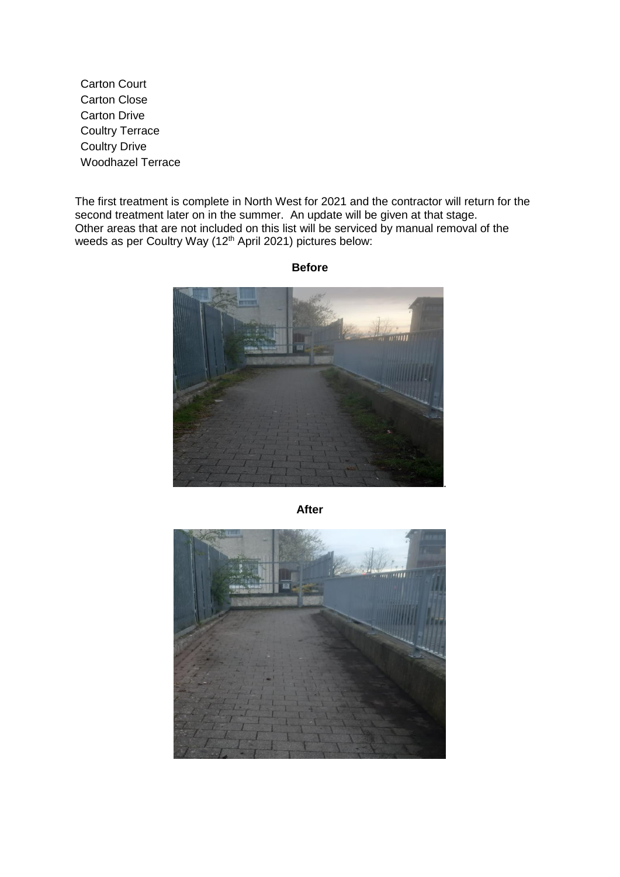Carton Court Carton Close Carton Drive Coultry Terrace Coultry Drive Woodhazel Terrace

The first treatment is complete in North West for 2021 and the contractor will return for the second treatment later on in the summer. An update will be given at that stage. Other areas that are not included on this list will be serviced by manual removal of the weeds as per Coultry Way (12<sup>th</sup> April 2021) pictures below:

.

**Before**

**After**